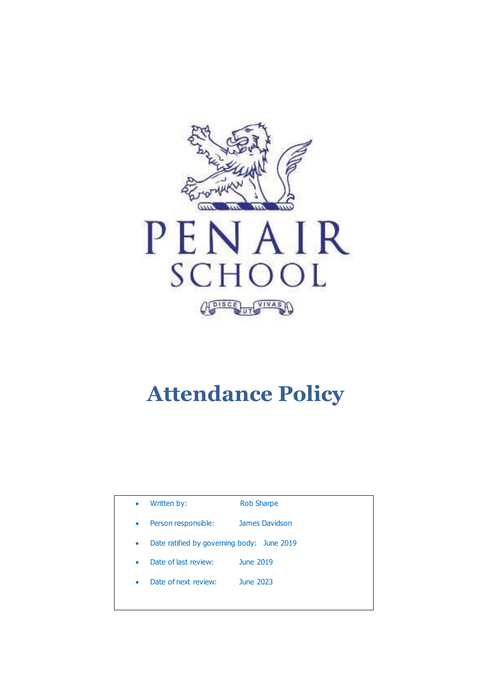

# **Attendance Policy**

| $\bullet$ | Written by:                                | <b>Rob Sharpe</b> |
|-----------|--------------------------------------------|-------------------|
| $\bullet$ | Person responsible:                        | James Davidson    |
| $\bullet$ | Date ratified by governing body: June 2019 |                   |
| $\bullet$ | Date of last review:                       | June 2019         |
| $\bullet$ | Date of next review:                       | June 2023         |
|           |                                            |                   |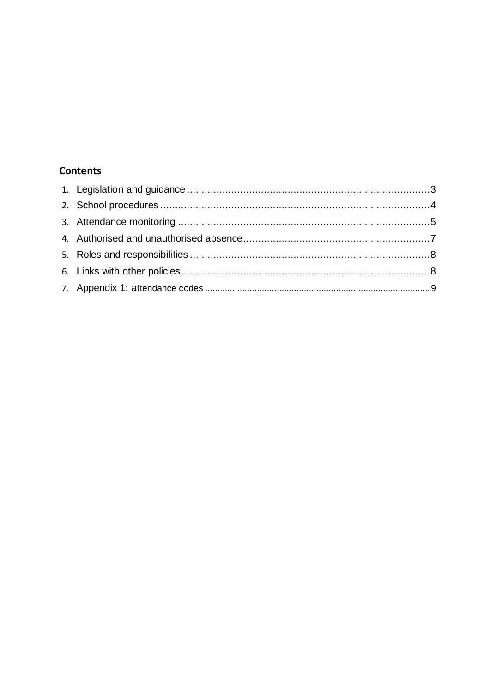### **Contents**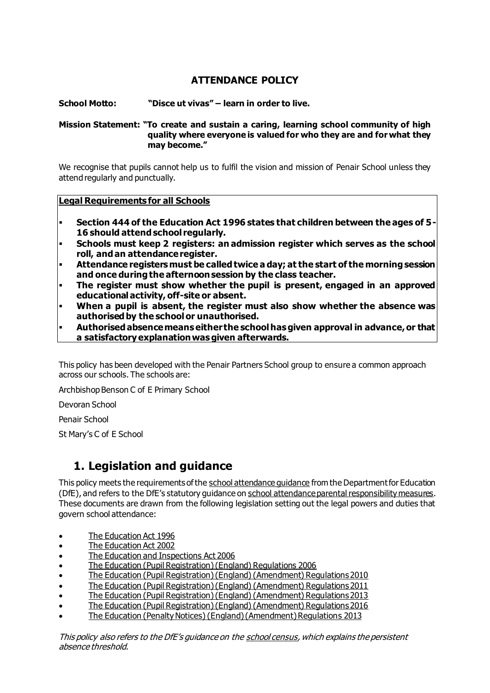### **ATTENDANCE POLICY**

#### **School Motto: "Disce ut vivas" – learn in order to live.**

#### **Mission Statement: "To create and sustain a caring, learning school community of high quality where everyone is valued for who they are and for what they may become."**

We recognise that pupils cannot help us to fulfil the vision and mission of Penair School unless they attend regularly and punctually.

#### **Legal Requirements for all Schools**

- **Section 444 of the Education Act 1996 states that children between the ages of 5- 16 should attend school regularly.**
- **Schools must keep 2 registers: an admission register which serves as the school roll, and an attendance register.**
- **Attendance registers must be called twice a day; at the start of the morning session and once during the afternoon session by the class teacher.**
- The register must show whether the pupil is present, engaged in an approved **educational activity, off-site or absent.**
- When a pupil is absent, the register must also show whether the absence was **authorised by the school or unauthorised.**
- **Authorised absence means either the school has given approval in advance, or that a satisfactory explanation was given afterwards.**

This policy has been developed with the Penair Partners School group to ensure a common approach across our schools. The schools are:

Archbishop Benson C of E Primary School

Devoran School

Penair School

St Mary's C of E School

### **1. Legislation and guidance**

This policy meets the requirements of th[e school attendance guidance](https://www.gov.uk/government/publications/school-attendance) from the Department for Education (DfE), and refers to the DfE's statutory guidance o[n school attendance parental responsibility measures.](https://www.gov.uk/government/publications/parental-responsibility-measures-for-behaviour-and-attendance) These documents are drawn from the following legislation setting out the legal powers and duties that govern school attendance:

- [The Education Act 1996](https://www.legislation.gov.uk/ukpga/1996/56/part/VI/chapter/II)
- [The Education Act 2002](http://www.legislation.gov.uk/ukpga/2002/32/part/3/chapter/3)
- [The Education and Inspections Act 2006](http://www.legislation.gov.uk/ukpga/2006/40/part/7/chapter/2/crossheading/school-attendance)
- [The Education \(Pupil Registration\) \(England\) Regulations 2006](http://www.legislation.gov.uk/uksi/2006/1751/contents/made)
- [The Education \(Pupil Registration\) \(England\) \(Amendment\) Regulations 2010](http://www.centralbedfordshire.gov.uk/Images/amendment-regulation-2010_tcm3-8642.pdf)
- [The Education \(Pupil Registration\) \(England\) \(Amendment\) Regulations 2011](http://www.legislation.gov.uk/uksi/2011/1625/made)
- [The Education \(Pupil Registration\) \(England\) \(Amendment\) Regulations 2013](http://www.legislation.gov.uk/uksi/2013/756/made)
- [The Education \(Pupil Registration\) \(England\) \(Amendment\) Regulations 2016](http://legislation.data.gov.uk/uksi/2016/792/made/data.html)
- [The Education \(Penalty Notices\) \(England\) \(Amendment\) Regulations 2013](http://www.legislation.gov.uk/uksi/2013/756/pdfs/uksiem_20130756_en.pdf)

This policy also refers to the DfE's guidance on the [school census,](https://www.gov.uk/government/publications/school-census-2017-to-2018-guide-for-schools-and-las) which explains the persistent absence threshold.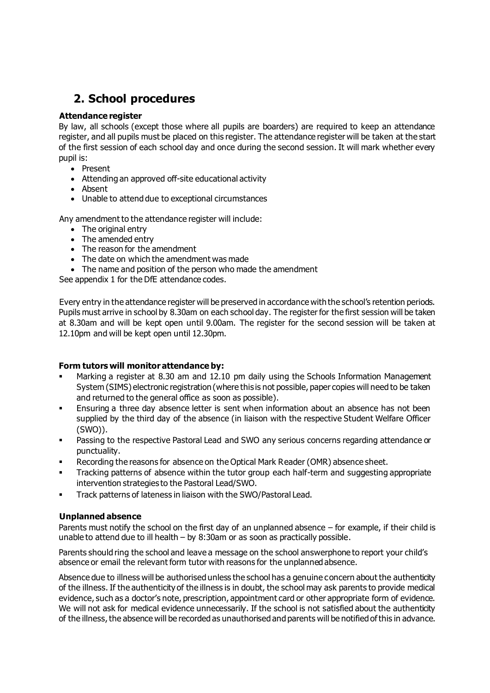### **2. School procedures**

#### **Attendance register**

By law, all schools (except those where all pupils are boarders) are required to keep an attendance register, and all pupils must be placed on this register. The attendance register will be taken at the start of the first session of each school day and once during the second session. It will mark whether every pupil is:

- Present
- Attending an approved off-site educational activity
- Absent
- Unable to attend due to exceptional circumstances

Any amendment to the attendance register will include:

- The original entry
- The amended entry
- $\bullet$  The reason for the amendment
- The date on which the amendment was made
- The name and position of the person who made the amendment

See appendix 1 for the DfE attendance codes.

Every entry in the attendance register will be preserved in accordance with the school's retention periods. Pupils must arrive in school by 8.30am on each school day. The register for the first session will be taken at 8.30am and will be kept open until 9.00am. The register for the second session will be taken at 12.10pm and will be kept open until 12.30pm.

#### **Form tutors will monitor attendance by:**

- Marking a register at 8.30 am and 12.10 pm daily using the Schools Information Management System (SIMS) electronic registration (where this is not possible, paper copies will need to be taken and returned to the general office as soon as possible).
- **Ensuring a three day absence letter is sent when information about an absence has not been** supplied by the third day of the absence (in liaison with the respective Student Welfare Officer (SWO)).
- **•** Passing to the respective Pastoral Lead and SWO any serious concerns regarding attendance or punctuality.
- Recording the reasons for absence on the Optical Mark Reader (OMR) absence sheet.
- **•** Tracking patterns of absence within the tutor group each half-term and suggesting appropriate intervention strategies to the Pastoral Lead/SWO.
- **Track patterns of lateness in liaison with the SWO/Pastoral Lead.**

#### **Unplanned absence**

Parents must notify the school on the first day of an unplanned absence – for example, if their child is unable to attend due to ill health – by 8:30am or as soon as practically possible.

Parents should ring the school and leave a message on the school answerphone to report your child's absence or email the relevant form tutor with reasons for the unplanned absence.

Absence due to illness will be authorised unless the school has a genuine concern about the authenticity of the illness. If the authenticity of the illness is in doubt, the school may ask parents to provide medical evidence, such as a doctor's note, prescription, appointment card or other appropriate form of evidence. We will not ask for medical evidence unnecessarily. If the school is not satisfied about the authenticity of the illness, the absence will be recorded as unauthorised and parents will be notified of this in advance.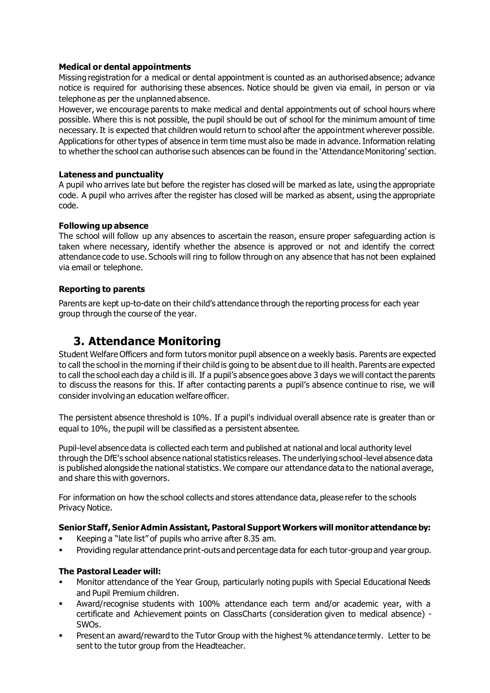#### **Medical or dental appointments**

Missing registration for a medical or dental appointment is counted as an authorised absence; advance notice is required for authorising these absences. Notice should be given via email, in person or via telephone as per the unplanned absence.

However, we encourage parents to make medical and dental appointments out of school hours where possible. Where this is not possible, the pupil should be out of school for the minimum amount of time necessary. It is expected that children would return to school after the appointment wherever possible. Applications for other types of absence in term time must also be made in advance. Information relating to whether the school can authorise such absences can be found in the 'Attendance Monitoring' section.

#### **Lateness and punctuality**

A pupil who arrives late but before the register has closed will be marked as late, using the appropriate code. A pupil who arrives after the register has closed will be marked as absent, using the appropriate code.

#### **Following up absence**

The school will follow up any absences to ascertain the reason, ensure proper safeguarding action is taken where necessary, identify whether the absence is approved or not and identify the correct attendance code to use. Schools will ring to follow through on any absence that has not been explained via email or telephone.

#### **Reporting to parents**

Parents are kept up-to-date on their child's attendance through the reporting process for each year group through the course of the year.

### **3. Attendance Monitoring**

Student Welfare Officers and form tutors monitor pupil absence on a weekly basis. Parents are expected to call the school in the morning if their child is going to be absent due to ill health. Parents are expected to call the school each day a child is ill. If a pupil's absence goes above 3 days we will contact the parents to discuss the reasons for this. If after contacting parents a pupil's absence continue to rise, we will consider involving an education welfare officer.

The persistent absence threshold is 10%. If a pupil's individual overall absence rate is greater than or equal to 10%, the pupil will be classified as a persistent absentee.

Pupil-level absence data is collected each term and published at national and local authority level through the DfE's school absence national statistics releases. The underlying school-level absence data is published alongside the national statistics. We compare our attendance data to the national average, and share this with governors.

For information on how the school collects and stores attendance data, please refer to the schools Privacy Notice.

#### **Senior Staff, Senior Admin Assistant, Pastoral Support Workers will monitor attendance by:**

- Keeping a "late list" of pupils who arrive after 8.35 am.
- Providing regular attendance print-outs and percentage data for each tutor-group and year group.

#### **The Pastoral Leader will:**

- Monitor attendance of the Year Group, particularly noting pupils with Special Educational Needs and Pupil Premium children.
- Award/recognise students with 100% attendance each term and/or academic year, with a certificate and Achievement points on ClassCharts (consideration given to medical absence) - SWOs.
- Present an award/reward to the Tutor Group with the highest % attendance termly. Letter to be sent to the tutor group from the Headteacher.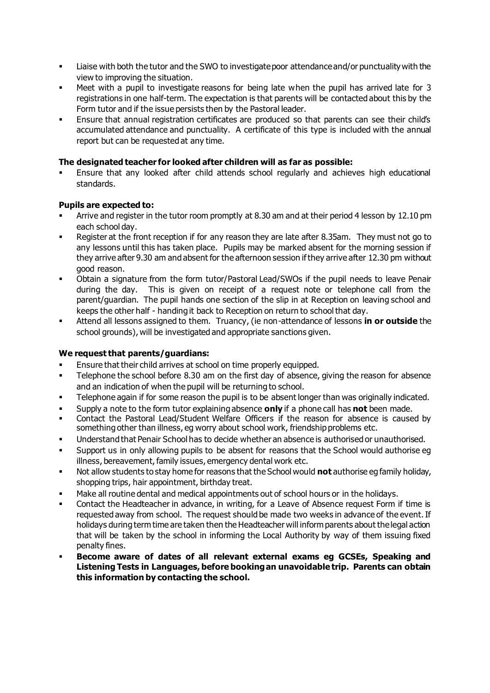- Liaise with both the tutor and the SWO to investigate poor attendance and/or punctuality with the view to improving the situation.
- Meet with a pupil to investigate reasons for being late when the pupil has arrived late for 3 registrations in one half-term. The expectation is that parents will be contacted about this by the Form tutor and if the issue persists then by the Pastoral leader.
- Ensure that annual registration certificates are produced so that parents can see their child's accumulated attendance and punctuality. A certificate of this type is included with the annual report but can be requested at any time.

#### **The designated teacher for looked after children will as far as possible:**

Ensure that any looked after child attends school regularly and achieves high educational standards.

#### **Pupils are expected to:**

- Arrive and register in the tutor room promptly at 8.30 am and at their period 4 lesson by 12.10 pm each school day.
- Register at the front reception if for any reason they are late after 8.35am. They must not go to any lessons until this has taken place. Pupils may be marked absent for the morning session if they arrive after 9.30 am and absent for the afternoon session if they arrive after 12.30 pm without good reason.
- Obtain a signature from the form tutor/Pastoral Lead/SWOs if the pupil needs to leave Penair during the day. This is given on receipt of a request note or telephone call from the parent/guardian. The pupil hands one section of the slip in at Reception on leaving school and keeps the other half - handing it back to Reception on return to school that day.
- Attend all lessons assigned to them. Truancy, (ie non-attendance of lessons in or outside the school grounds), will be investigated and appropriate sanctions given.

#### **We request that parents/guardians:**

- Ensure that their child arrives at school on time properly equipped.
- **•** Telephone the school before 8.30 am on the first day of absence, giving the reason for absence and an indication of when the pupil will be returning to school.
- Telephone again if for some reason the pupil is to be absent longer than was originally indicated.
- Supply a note to the form tutor explaining absence **only** if a phone call has **not** been made.
- Contact the Pastoral Lead/Student Welfare Officers if the reason for absence is caused by something other than illness, eg worry about school work, friendship problems etc.
- Understand that Penair School has to decide whether an absence is authorised or unauthorised.
- Support us in only allowing pupils to be absent for reasons that the School would authorise eg illness, bereavement, family issues, emergency dental work etc.
- Not allow students to stay home for reasons that the School would **not** authorise eg family holiday, shopping trips, hair appointment, birthday treat.
- Make all routine dental and medical appointments out of school hours or in the holidays.
- **•** Contact the Headteacher in advance, in writing, for a Leave of Absence request Form if time is requested away from school. The request should be made two weeks in advance of the event. If holidays during term time are taken then the Headteacher will inform parents about the legal action that will be taken by the school in informing the Local Authority by way of them issuing fixed penalty fines.
- **Become aware of dates of all relevant external exams eg GCSEs, Speaking and Listening Tests in Languages, before booking an unavoidable trip. Parents can obtain this information by contacting the school.**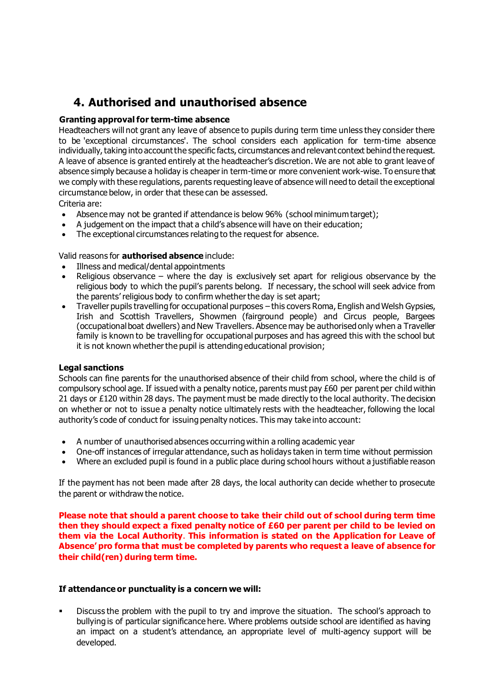### **4. Authorised and unauthorised absence**

#### **Granting approval for term-time absence**

Headteachers will not grant any leave of absence to pupils during term time unless they consider there to be 'exceptional circumstances'. The school considers each application for term-time absence individually, taking into account the specific facts, circumstances and relevant context behind the request. A leave of absence is granted entirely at the headteacher's discretion. We are not able to grant leave of absence simply because a holiday is cheaper in term-time or more convenient work-wise. To ensure that we comply with these regulations, parents requesting leave of absence will need to detail the exceptional circumstance below, in order that these can be assessed.

Criteria are:

- Absence may not be granted if attendance is below 96% (school minimum target):
- A judgement on the impact that a child's absence will have on their education;
- The exceptional circumstances relating to the request for absence.

Valid reasons for **authorised absence** include:

- Illness and medical/dental appointments
- Religious observance where the day is exclusively set apart for religious observance by the religious body to which the pupil's parents belong. If necessary, the school will seek advice from the parents' religious body to confirm whether the day is set apart;
- Traveller pupils travelling for occupational purposes this covers Roma, English and Welsh Gypsies, Irish and Scottish Travellers, Showmen (fairground people) and Circus people, Bargees (occupational boat dwellers) and New Travellers. Absence may be authorised only when a Traveller family is known to be travelling for occupational purposes and has agreed this with the school but it is not known whether the pupil is attending educational provision;

#### **Legal sanctions**

Schools can fine parents for the unauthorised absence of their child from school, where the child is of compulsory school age. If issued with a penalty notice, parents must pay £60 per parent per child within 21 days or £120 within 28 days. The payment must be made directly to the local authority. The decision on whether or not to issue a penalty notice ultimately rests with the headteacher, following the local authority's code of conduct for issuing penalty notices. This may take into account:

- A number of unauthorised absences occurring within a rolling academic year
- One-off instances of irregular attendance, such as holidays taken in term time without permission
- Where an excluded pupil is found in a public place during school hours without a justifiable reason

If the payment has not been made after 28 days, the local authority can decide whether to prosecute the parent or withdraw the notice.

**Please note that should a parent choose to take their child out of school during term time then they should expect a fixed penalty notice of £60 per parent per child to be levied on them via the Local Authority**. **This information is stated on the Application for Leave of Absence' pro forma that must be completed by parents who request a leave of absence for their child(ren) during term time.**

#### **If attendance or punctuality is a concern we will:**

**•** Discuss the problem with the pupil to try and improve the situation. The school's approach to bullying is of particular significance here. Where problems outside school are identified as having an impact on a student's attendance, an appropriate level of multi-agency support will be developed.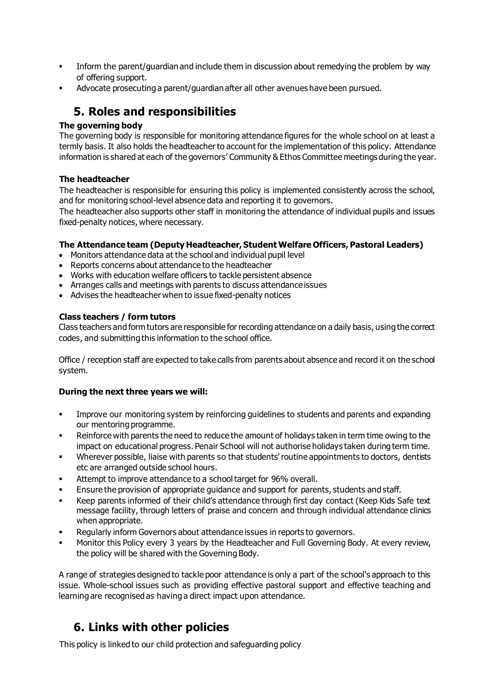- **•** Inform the parent/guardian and include them in discussion about remedying the problem by way of offering support.
- Advocate prosecuting a parent/guardian after all other avenues have been pursued.

### **5. Roles and responsibilities**

#### **The governing body**

The governing body is responsible for monitoring attendance figures for the whole school on at least a termly basis. It also holds the headteacher to account for the implementation of this policy. Attendance information is shared at each of the governors' Community & Ethos Committee meetings during the year.

#### **The headteacher**

The headteacher is responsible for ensuring this policy is implemented consistently across the school, and for monitoring school-level absence data and reporting it to governors.

The headteacher also supports other staff in monitoring the attendance of individual pupils and issues fixed-penalty notices, where necessary.

#### **The Attendance team (Deputy Headteacher, Student Welfare Officers, Pastoral Leaders)**

- Monitors attendance data at the school and individual pupil level
- Reports concerns about attendance to the headteacher
- Works with education welfare officers to tackle persistent absence
- Arranges calls and meetings with parents to discuss attendance issues
- Advises the headteacher when to issue fixed-penalty notices

#### **Class teachers / form tutors**

Class teachers and form tutors are responsible for recording attendance on a daily basis, using the correct codes, and submitting this information to the school office.

Office / reception staff are expected to take calls from parents about absence and record it on the school system.

#### **During the next three years we will:**

- **Improve our monitoring system by reinforcing guidelines to students and parents and expanding** our mentoring programme.
- **Reinforce with parents the need to reduce the amount of holidays taken in term time owing to the** impact on educational progress. Penair School will not authorise holidays taken during term time.
- Wherever possible, liaise with parents so that students' routine appointments to doctors, dentists etc are arranged outside school hours.
- **EXECT** Attempt to improve attendance to a school target for 96% overall.
- Ensure the provision of appropriate guidance and support for parents, students and staff.
- Keep parents informed of their child's attendance through first day contact (Keep Kids Safe text message facility, through letters of praise and concern and through individual attendance clinics when appropriate.
- Regularly inform Governors about attendance issues in reports to governors.
- Monitor this Policy every 3 years by the Headteacher and Full Governing Body. At every review, the policy will be shared with the Governing Body.

A range of strategies designed to tackle poor attendance is only a part of the school's approach to this issue. Whole-school issues such as providing effective pastoral support and effective teaching and learning are recognised as having a direct impact upon attendance.

### **6. Links with other policies**

This policy is linked to our child protection and safeguarding policy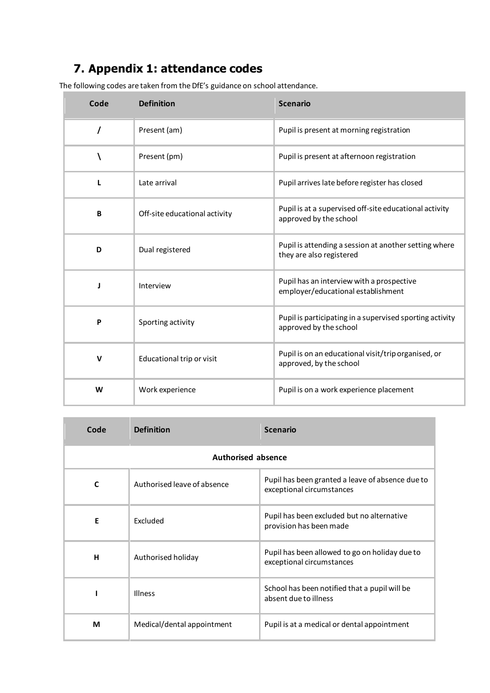## **7. Appendix 1: attendance codes**

The following codes are taken from the DfE's guidance on school attendance.

| Code | <b>Definition</b>             | <b>Scenario</b>                                                                    |
|------|-------------------------------|------------------------------------------------------------------------------------|
| 7    | Present (am)                  | Pupil is present at morning registration                                           |
|      | Present (pm)                  | Pupil is present at afternoon registration                                         |
| L    | Late arrival                  | Pupil arrives late before register has closed                                      |
| B    | Off-site educational activity | Pupil is at a supervised off-site educational activity<br>approved by the school   |
| D    | Dual registered               | Pupil is attending a session at another setting where<br>they are also registered  |
| J    | Interview                     | Pupil has an interview with a prospective<br>employer/educational establishment    |
| P    | Sporting activity             | Pupil is participating in a supervised sporting activity<br>approved by the school |
| v    | Educational trip or visit     | Pupil is on an educational visit/trip organised, or<br>approved, by the school     |
| W    | Work experience               | Pupil is on a work experience placement                                            |

| Code                      | <b>Definition</b>           | <b>Scenario</b>                                                               |  |
|---------------------------|-----------------------------|-------------------------------------------------------------------------------|--|
| <b>Authorised absence</b> |                             |                                                                               |  |
| $\mathbf c$               | Authorised leave of absence | Pupil has been granted a leave of absence due to<br>exceptional circumstances |  |
| Е                         | Excluded                    | Pupil has been excluded but no alternative<br>provision has been made         |  |
| н                         | Authorised holiday          | Pupil has been allowed to go on holiday due to<br>exceptional circumstances   |  |
|                           | Illness                     | School has been notified that a pupil will be<br>absent due to illness        |  |
| М                         | Medical/dental appointment  | Pupil is at a medical or dental appointment                                   |  |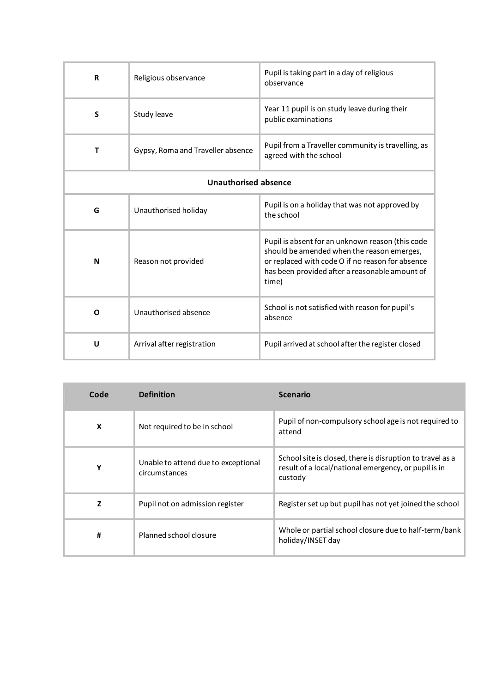| R                           | Religious observance              | Pupil is taking part in a day of religious<br>observance                                                                                                                                                      |
|-----------------------------|-----------------------------------|---------------------------------------------------------------------------------------------------------------------------------------------------------------------------------------------------------------|
| S                           | Study leave                       | Year 11 pupil is on study leave during their<br>public examinations                                                                                                                                           |
| $\mathbf T$                 | Gypsy, Roma and Traveller absence | Pupil from a Traveller community is travelling, as<br>agreed with the school                                                                                                                                  |
| <b>Unauthorised absence</b> |                                   |                                                                                                                                                                                                               |
| G                           | Unauthorised holiday              | Pupil is on a holiday that was not approved by<br>the school                                                                                                                                                  |
| N                           | Reason not provided               | Pupil is absent for an unknown reason (this code<br>should be amended when the reason emerges,<br>or replaced with code O if no reason for absence<br>has been provided after a reasonable amount of<br>time) |
| O                           | Unauthorised absence              | School is not satisfied with reason for pupil's<br>absence                                                                                                                                                    |
| U                           | Arrival after registration        | Pupil arrived at school after the register closed                                                                                                                                                             |

| Code | <b>Definition</b>                                    | <b>Scenario</b>                                                                                                              |
|------|------------------------------------------------------|------------------------------------------------------------------------------------------------------------------------------|
| X    | Not required to be in school                         | Pupil of non-compulsory school age is not required to<br>attend                                                              |
| Υ    | Unable to attend due to exceptional<br>circumstances | School site is closed, there is disruption to travel as a<br>result of a local/national emergency, or pupil is in<br>custody |
| z    | Pupil not on admission register                      | Register set up but pupil has not yet joined the school                                                                      |
| #    | Planned school closure                               | Whole or partial school closure due to half-term/bank<br>holiday/INSET day                                                   |